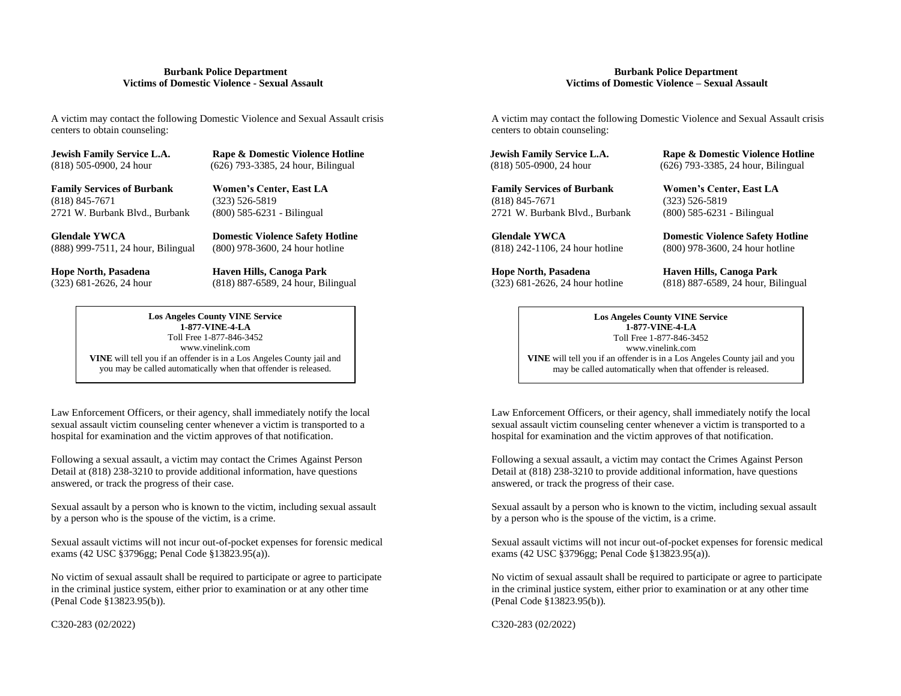A victim may contact the following Domestic Violence and Sexual Assault crisis A victim may contact the following Domestic Violence and Sexual Assault crisis centers to obtain counseling: centers to obtain counseling:

**Jewish Family Service L.A.** Rape & Domestic Violence Hotline **Jewish Family Service L.A.** Rape & Domestic Violence Hotline

2721 W. Burbank Blvd., Burbank (800) 585-6231 - Bilingual 2721 W. Burbank Blvd., Burbank (800) 585-6231 - Bilingual

**Glendale YWCA Domestic Violence Safety Hotline Glendale YWCA Domestic Violence Safety Hotline** (888) 999-7511, 24 hour, Bilingual (800) 978-3600, 24 hour hotline (818) 242-1106, 24 hour hotline (800) 978-3600, 24 hour hotline

**Hope North, Pasadena Haven Hills, Canoga Park Hope North, Pasadena Haven Hills, Canoga Park**

**Los Angeles County VINE Service 1-877-VINE-4-LA** Toll Free 1-877-846-3452 www.vinelink.com **VINE** will tell you if an offender is in a Los Angeles County jail and you may be called automatically when that offender is released.

sexual assault victim counseling center whenever a victim is transported to a sexual assault victim counseling center whenever a victim is transported to a hospital for examination and the victim approves of that notification. hospital for examination and the victim approves of that notification.

Detail at (818) 238-3210 to provide additional information, have questions Detail at (818) 238-3210 to provide additional information, have questions answered, or track the progress of their case. answered, or track the progress of their case.

Sexual assault by a person who is known to the victim, including sexual assault sexual assault by a person who is known to the victim, including sexual assault by a person who is known to the victim, including sexual assau by a person who is the spouse of the victim, is a crime. by a person who is the spouse of the victim, is a crime.

exams (42 USC §3796gg; Penal Code §13823.95(a)). exams (42 USC §3796gg; Penal Code §13823.95(a)).

No victim of sexual assault shall be required to participate or agree to participate No victim of sexual assault shall be required to participate or agree to participate in the criminal justice system, either prior to examination or at any other time in the criminal justice system, either prior to examination or at any other time (Penal Code §13823.95(b)). (Penal Code §13823.95(b)).

 **Burbank Police Department Burbank Police Department Victims of Domestic Violence - Sexual Assault Victims of Domestic Violence – Sexual Assault**

**Family Services of Burbank Women's Center, East LA Family Services of Burbank Women's Center, East LA**  (818) 845-7671 (323) 526-5819 (818) 845-7671 (323) 526-5819

(818) 505-0900, 24 hour (626) 793-3385, 24 hour, Bilingual (818) 505-0900, 24 hour (626) 793-3385, 24 hour, Bilingual

(323) 681-2626, 24 hour (818) 887-6589, 24 hour, Bilingual (323) 681-2626, 24 hour hotline (818) 887-6589, 24 hour, Bilingual

**Los Angeles County VINE Service 1-877-VINE-4-LA** Toll Free 1-877-846-3452 www.vinelink.com **VINE** will tell you if an offender is in a Los Angeles County jail and you may be called automatically when that offender is released.

Law Enforcement Officers, or their agency, shall immediately notify the local Law Enforcement Officers, or their agency, shall immediately notify the local

Following a sexual assault, a victim may contact the Crimes Against Person Following a sexual assault, a victim may contact the Crimes Against Person

Sexual assault victims will not incur out-of-pocket expenses for forensic medical Sexual assault victims will not incur out-of-pocket expenses for forensic medical

C320-283 (02/2022) C320-283 (02/2022)